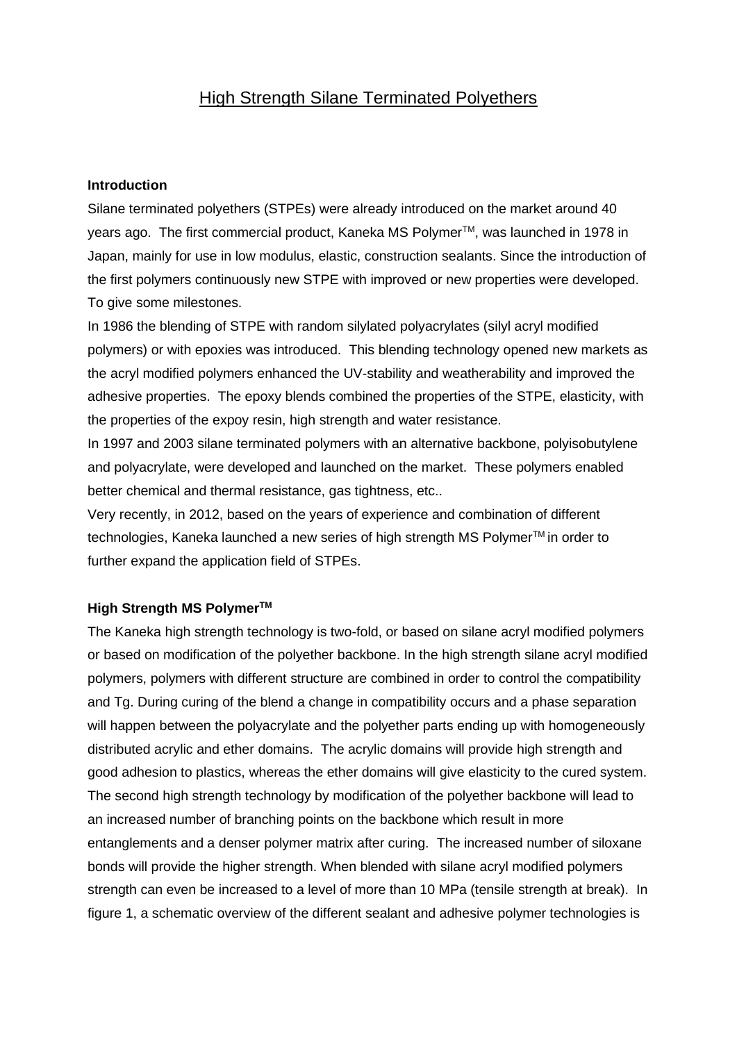# High Strength Silane Terminated Polyethers

## **Introduction**

Silane terminated polyethers (STPEs) were already introduced on the market around 40 years ago. The first commercial product, Kaneka MS Polymer™, was launched in 1978 in Japan, mainly for use in low modulus, elastic, construction sealants. Since the introduction of the first polymers continuously new STPE with improved or new properties were developed. To give some milestones.

In 1986 the blending of STPE with random silylated polyacrylates (silyl acryl modified polymers) or with epoxies was introduced. This blending technology opened new markets as the acryl modified polymers enhanced the UV-stability and weatherability and improved the adhesive properties. The epoxy blends combined the properties of the STPE, elasticity, with the properties of the expoy resin, high strength and water resistance.

In 1997 and 2003 silane terminated polymers with an alternative backbone, polyisobutylene and polyacrylate, were developed and launched on the market. These polymers enabled better chemical and thermal resistance, gas tightness, etc..

Very recently, in 2012, based on the years of experience and combination of different technologies, Kaneka launched a new series of high strength MS Polymer<sup>™</sup> in order to further expand the application field of STPEs.

#### **High Strength MS PolymerTM**

The Kaneka high strength technology is two-fold, or based on silane acryl modified polymers or based on modification of the polyether backbone. In the high strength silane acryl modified polymers, polymers with different structure are combined in order to control the compatibility and Tg. During curing of the blend a change in compatibility occurs and a phase separation will happen between the polyacrylate and the polyether parts ending up with homogeneously distributed acrylic and ether domains. The acrylic domains will provide high strength and good adhesion to plastics, whereas the ether domains will give elasticity to the cured system. The second high strength technology by modification of the polyether backbone will lead to an increased number of branching points on the backbone which result in more entanglements and a denser polymer matrix after curing. The increased number of siloxane bonds will provide the higher strength. When blended with silane acryl modified polymers strength can even be increased to a level of more than 10 MPa (tensile strength at break). In figure 1, a schematic overview of the different sealant and adhesive polymer technologies is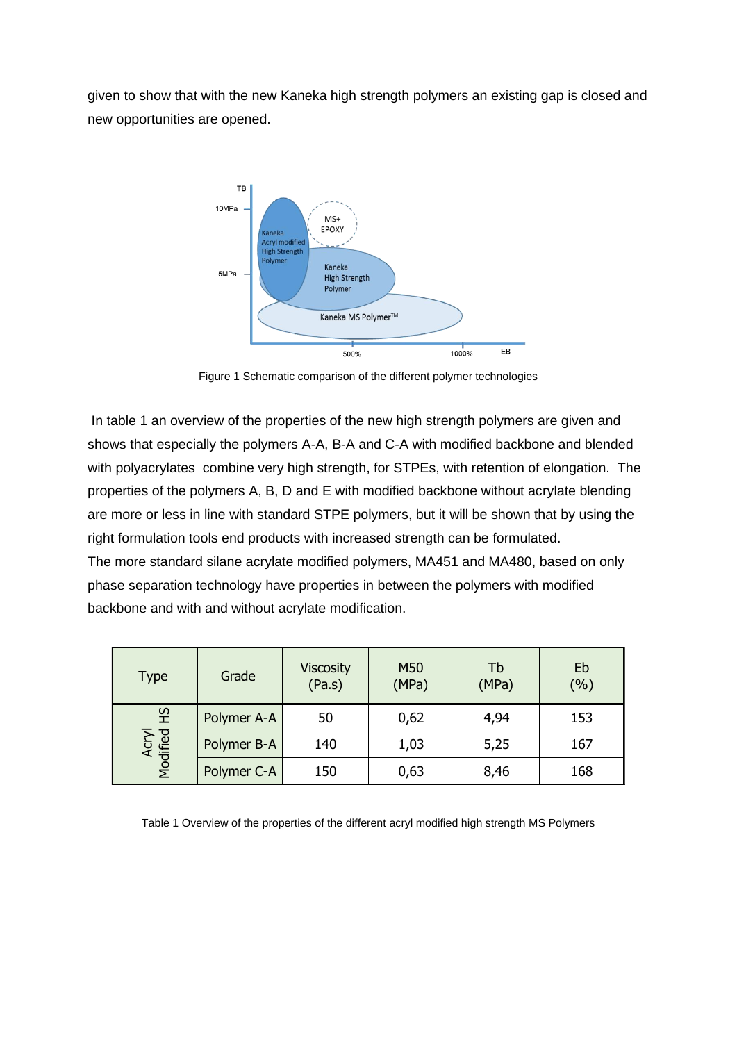given to show that with the new Kaneka high strength polymers an existing gap is closed and new opportunities are opened.



Figure 1 Schematic comparison of the different polymer technologies

In table 1 an overview of the properties of the new high strength polymers are given and shows that especially the polymers A-A, B-A and C-A with modified backbone and blended with polyacrylates combine very high strength, for STPEs, with retention of elongation. The properties of the polymers A, B, D and E with modified backbone without acrylate blending are more or less in line with standard STPE polymers, but it will be shown that by using the right formulation tools end products with increased strength can be formulated. The more standard silane acrylate modified polymers, MA451 and MA480, based on only phase separation technology have properties in between the polymers with modified backbone and with and without acrylate modification.

| <b>Type</b>            | Grade       | <b>Viscosity</b><br>(Pa.s) | M50<br>(MPa) | Tb<br>(MPa) | Eb<br>(%) |
|------------------------|-------------|----------------------------|--------------|-------------|-----------|
| 오<br>Acryl<br>Modified | Polymer A-A | 50                         | 0,62         | 4,94        | 153       |
|                        | Polymer B-A | 140                        | 1,03         | 5,25        | 167       |
|                        | Polymer C-A | 150                        | 0,63         | 8,46        | 168       |

Table 1 Overview of the properties of the different acryl modified high strength MS Polymers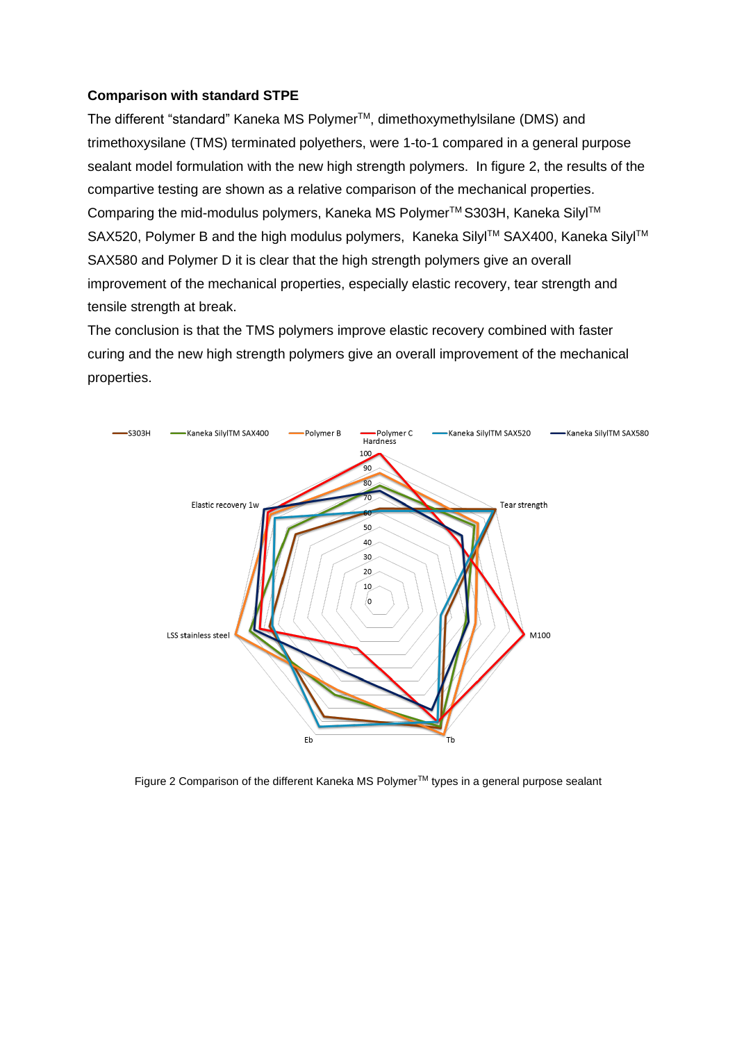## **Comparison with standard STPE**

The different "standard" Kaneka MS Polymer<sup>™</sup>, dimethoxymethylsilane (DMS) and trimethoxysilane (TMS) terminated polyethers, were 1-to-1 compared in a general purpose sealant model formulation with the new high strength polymers. In figure 2, the results of the compartive testing are shown as a relative comparison of the mechanical properties. Comparing the mid-modulus polymers, Kaneka MS Polymer™ S303H, Kaneka Silyl™ SAX520, Polymer B and the high modulus polymers, Kaneka Silyl™ SAX400, Kaneka Silyl™ SAX580 and Polymer D it is clear that the high strength polymers give an overall improvement of the mechanical properties, especially elastic recovery, tear strength and tensile strength at break.

The conclusion is that the TMS polymers improve elastic recovery combined with faster curing and the new high strength polymers give an overall improvement of the mechanical properties.



Figure 2 Comparison of the different Kaneka MS Polymer™ types in a general purpose sealant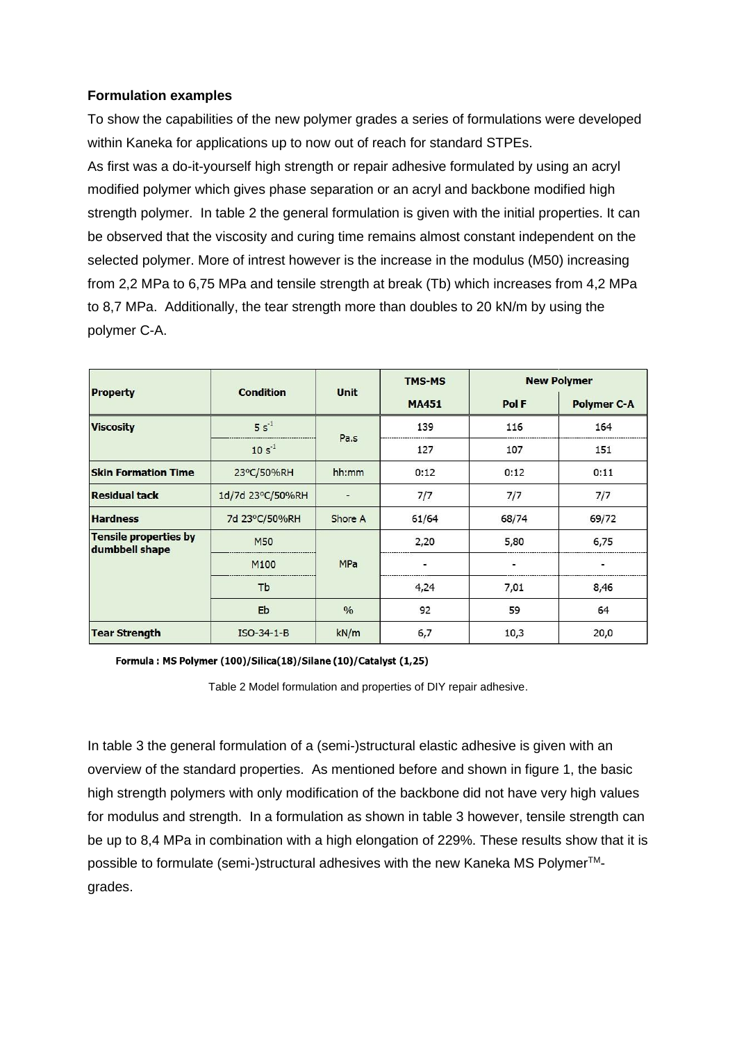# **Formulation examples**

To show the capabilities of the new polymer grades a series of formulations were developed within Kaneka for applications up to now out of reach for standard STPEs.

As first was a do-it-yourself high strength or repair adhesive formulated by using an acryl modified polymer which gives phase separation or an acryl and backbone modified high strength polymer. In table 2 the general formulation is given with the initial properties. It can be observed that the viscosity and curing time remains almost constant independent on the selected polymer. More of intrest however is the increase in the modulus (M50) increasing from 2,2 MPa to 6,75 MPa and tensile strength at break (Tb) which increases from 4,2 MPa to 8,7 MPa. Additionally, the tear strength more than doubles to 20 kN/m by using the polymer C-A.

|                                                | <b>Condition</b> | <b>Unit</b>    | <b>TMS-MS</b> | <b>New Polymer</b> |                    |
|------------------------------------------------|------------------|----------------|---------------|--------------------|--------------------|
| <b>Property</b>                                |                  |                | <b>MA451</b>  | Pol F              | <b>Polymer C-A</b> |
| <b>Viscosity</b>                               | $5s^{-1}$        | Pa.s           | 139           | 116                | 164                |
|                                                | $10 s^{-1}$      |                | 127           | 107                | 151                |
| <b>Skin Formation Time</b>                     | 23°C/50%RH       | hh:mm          | 0:12          | 0:12               | 0:11               |
| <b>Residual tack</b>                           | 1d/7d 23°C/50%RH | $\overline{ }$ | 7/7           | 7/7                | 7/7                |
| <b>Hardness</b>                                | 7d 23°C/50%RH    | Shore A        | 61/64         | 68/74              | 69/72              |
| <b>Tensile properties by</b><br>dumbbell shape | <b>M50</b>       |                | 2,20          | 5,80               | 6,75               |
|                                                | M <sub>100</sub> | <b>MPa</b>     |               |                    |                    |
|                                                | Tb               |                | 4,24          | 7,01               | 8,46               |
|                                                | Eb               | 0/0            | 92            | 59                 | 64                 |
| <b>Tear Strength</b>                           | ISO-34-1-B       | kN/m           | 6,7           | 10,3               | 20,0               |

Formula: MS Polymer (100)/Silica(18)/Silane (10)/Catalyst (1,25)

Table 2 Model formulation and properties of DIY repair adhesive.

In table 3 the general formulation of a (semi-)structural elastic adhesive is given with an overview of the standard properties. As mentioned before and shown in figure 1, the basic high strength polymers with only modification of the backbone did not have very high values for modulus and strength. In a formulation as shown in table 3 however, tensile strength can be up to 8,4 MPa in combination with a high elongation of 229%. These results show that it is possible to formulate (semi-)structural adhesives with the new Kaneka MS Polymer<sup>™</sup>grades.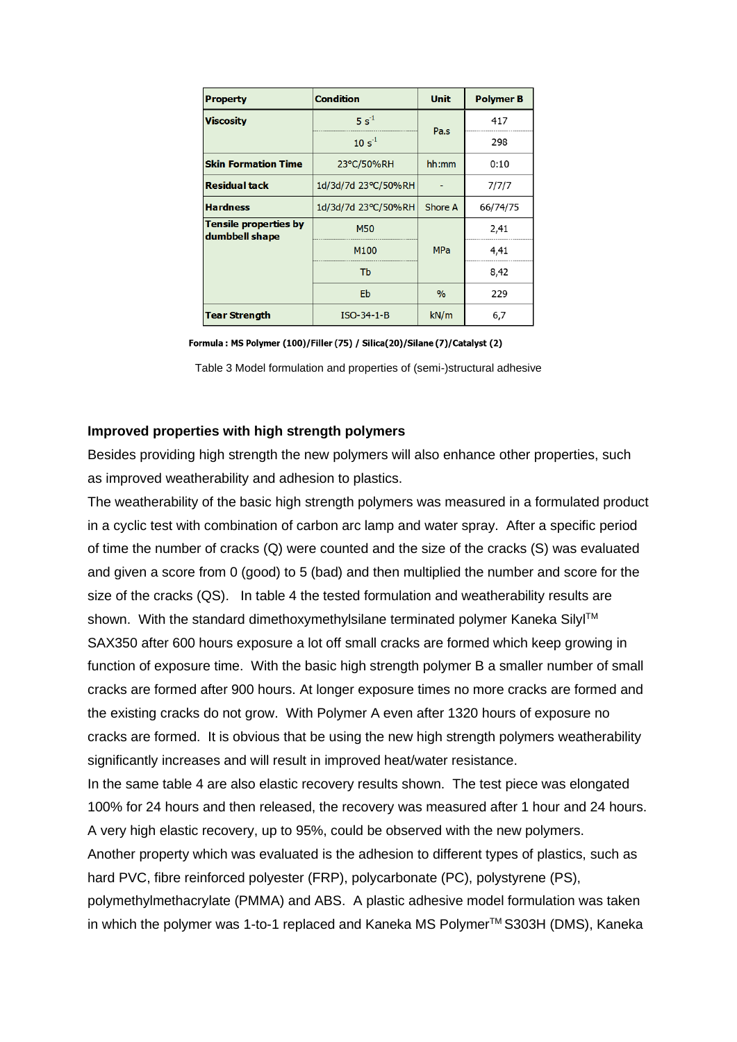| <b>Condition</b><br><b>Property</b>            |                                | <b>Unit</b> | <b>Polymer B</b> |
|------------------------------------------------|--------------------------------|-------------|------------------|
| <b>Viscosity</b>                               | $5s^{-1}$                      | Pa.s        | 417              |
|                                                | $10 s^{-1}$                    |             | 298              |
| <b>Skin Formation Time</b>                     | 23°C/50%RH                     | hh:mm       | 0:10             |
| <b>Residual tack</b>                           | 1d/3d/7d 23°C/50%RH            |             | 7/7/7            |
| <b>Hardness</b>                                | Shore A<br>1d/3d/7d 23°C/50%RH |             | 66/74/75         |
| <b>Tensile properties by</b><br>dumbbell shape | <b>M50</b>                     |             | 2,41             |
|                                                | M100                           | <b>MPa</b>  | 4,41             |
|                                                | Tb                             |             | 8,42             |
|                                                | Eb                             | $\%$        | 229              |
| <b>Tear Strength</b>                           | $ISO-34-1-B$                   | kN/m        | 6,7              |

Formula: MS Polymer (100)/Filler (75) / Silica(20)/Silane (7)/Catalyst (2)

Table 3 Model formulation and properties of (semi-)structural adhesive

#### **Improved properties with high strength polymers**

Besides providing high strength the new polymers will also enhance other properties, such as improved weatherability and adhesion to plastics.

The weatherability of the basic high strength polymers was measured in a formulated product in a cyclic test with combination of carbon arc lamp and water spray. After a specific period of time the number of cracks (Q) were counted and the size of the cracks (S) was evaluated and given a score from 0 (good) to 5 (bad) and then multiplied the number and score for the size of the cracks (QS). In table 4 the tested formulation and weatherability results are shown. With the standard dimethoxymethylsilane terminated polymer Kaneka Silyl™ SAX350 after 600 hours exposure a lot off small cracks are formed which keep growing in function of exposure time. With the basic high strength polymer B a smaller number of small cracks are formed after 900 hours. At longer exposure times no more cracks are formed and the existing cracks do not grow. With Polymer A even after 1320 hours of exposure no cracks are formed. It is obvious that be using the new high strength polymers weatherability significantly increases and will result in improved heat/water resistance.

In the same table 4 are also elastic recovery results shown. The test piece was elongated 100% for 24 hours and then released, the recovery was measured after 1 hour and 24 hours. A very high elastic recovery, up to 95%, could be observed with the new polymers.

Another property which was evaluated is the adhesion to different types of plastics, such as hard PVC, fibre reinforced polyester (FRP), polycarbonate (PC), polystyrene (PS), polymethylmethacrylate (PMMA) and ABS. A plastic adhesive model formulation was taken in which the polymer was 1-to-1 replaced and Kaneka MS Polymer™ S303H (DMS), Kaneka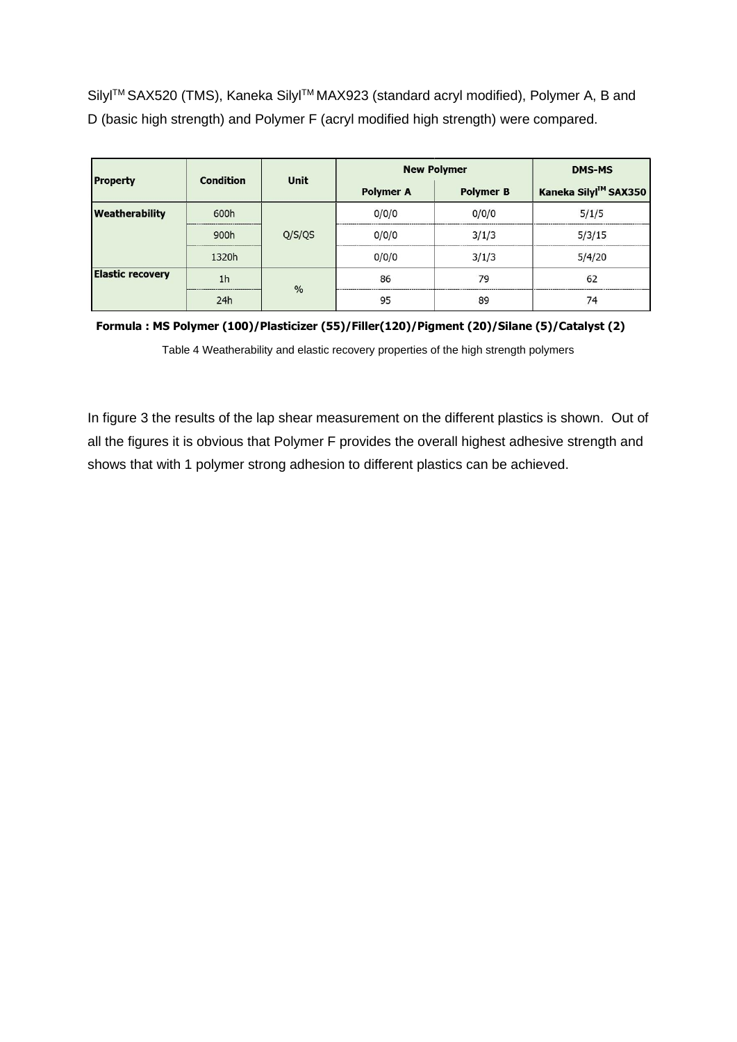Silyl™ SAX520 (TMS), Kaneka Silyl™ MAX923 (standard acryl modified), Polymer A, B and D (basic high strength) and Polymer F (acryl modified high strength) were compared.

| <b>Property</b>         | <b>Condition</b> | <b>Unit</b>   | <b>New Polymer</b> |                  | <b>DMS-MS</b>        |
|-------------------------|------------------|---------------|--------------------|------------------|----------------------|
|                         |                  |               | <b>Polymer A</b>   | <b>Polymer B</b> | Kaneka Silyl™ SAX350 |
| Weatherability          | 600h             | Q/S/QS        | 0/0/0              | 0/0/0            | 5/1/5                |
|                         | 900h             |               | 0/0/0              | 3/1/3            | 5/3/15               |
|                         | 1320h            |               | 0/0/0              | 3/1/3            | 5/4/20               |
| <b>Elastic recovery</b> | 1 <sub>h</sub>   | $\frac{0}{0}$ | 86                 | 79               | 62                   |
|                         | 24h              |               | 95                 | 89               | 74                   |

**Formula : MS Polymer (100)/Plasticizer (55)/Filler(120)/Pigment (20)/Silane (5)/Catalyst (2)**

Table 4 Weatherability and elastic recovery properties of the high strength polymers

In figure 3 the results of the lap shear measurement on the different plastics is shown. Out of all the figures it is obvious that Polymer F provides the overall highest adhesive strength and shows that with 1 polymer strong adhesion to different plastics can be achieved.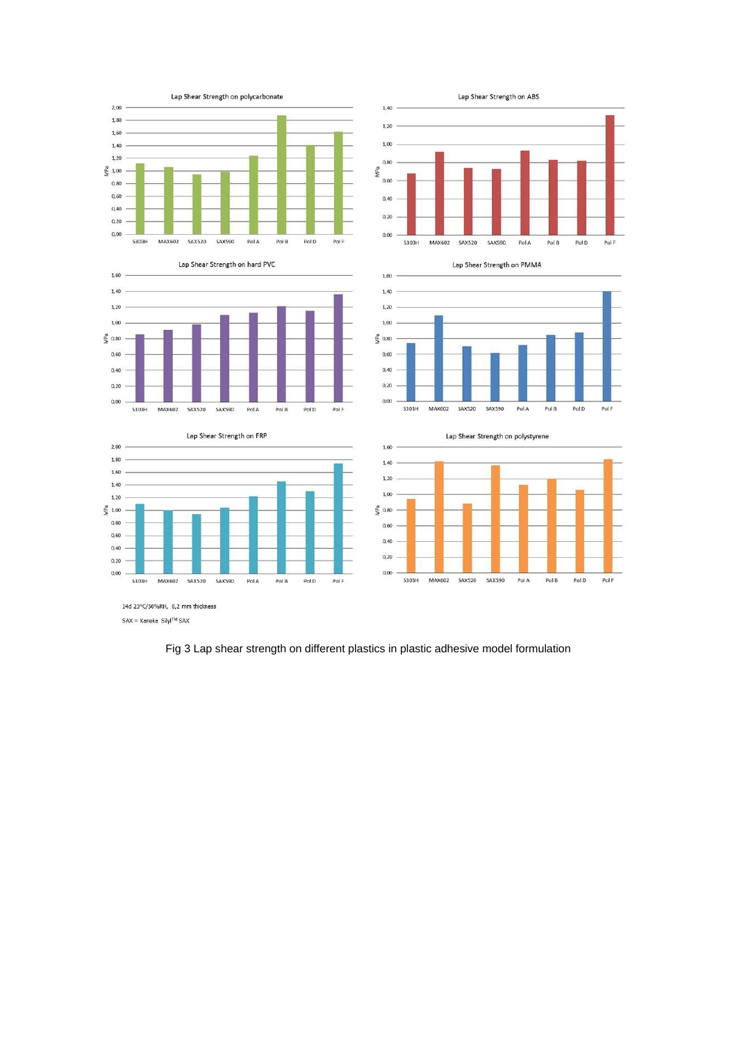













**SAX590** 

PolA

Pol B

Pol D

PolF

14d 23°C/50%RH, 0,2 mm thickness  $\mathsf{SAX} = \mathsf{Kaneka}\;\; \mathsf{SilyI}^{\mathsf{TM}}\;\mathsf{SAX}$ 

Fig 3 Lap shear strength on different plastics in plastic adhesive model formulation

**S303H** 

MAX602 SAX520

Lap Shear Strength on ABS